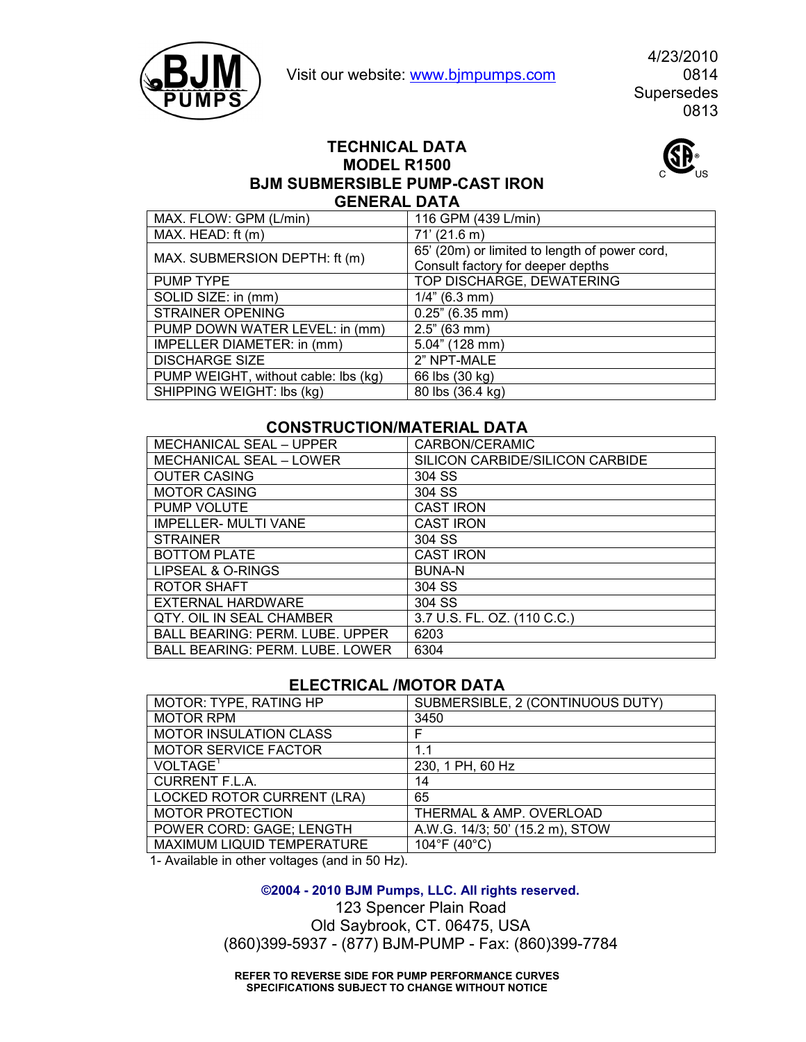



4/23/2010 Supersedes 0813

## **TECHNICAL DATA MODEL R1500 BJM SUBMERSIBLE PUMP-CAST IRON GENERAL DATA**

| MAX. FLOW: GPM (L/min)               | 116 GPM (439 L/min)                           |
|--------------------------------------|-----------------------------------------------|
| MAX. HEAD: ft (m)                    | $71'$ (21.6 m)                                |
| MAX. SUBMERSION DEPTH: ft (m)        | 65' (20m) or limited to length of power cord, |
|                                      | Consult factory for deeper depths             |
| PUMP TYPE                            | TOP DISCHARGE, DEWATERING                     |
| SOLID SIZE: in (mm)                  | $1/4$ " (6.3 mm)                              |
| <b>STRAINER OPENING</b>              | $0.25$ " (6.35 mm)                            |
| PUMP DOWN WATER LEVEL: in (mm)       | 2.5" (63 mm)                                  |
| IMPELLER DIAMETER: in (mm)           | 5.04" (128 mm)                                |
| <b>DISCHARGE SIZE</b>                | 2" NPT-MALE                                   |
| PUMP WEIGHT, without cable: Ibs (kg) | 66 lbs (30 kg)                                |
| SHIPPING WEIGHT: lbs (kg)            | 80 lbs (36.4 kg)                              |

## **CONSTRUCTION/MATERIAL DATA**

| <b>MECHANICAL SEAL - UPPER</b>         | CARBON/CERAMIC                  |
|----------------------------------------|---------------------------------|
| <b>MECHANICAL SEAL - LOWER</b>         | SILICON CARBIDE/SILICON CARBIDE |
| <b>OUTER CASING</b>                    | 304 SS                          |
| <b>MOTOR CASING</b>                    | 304 SS                          |
| PUMP VOLUTE                            | <b>CAST IRON</b>                |
| <b>IMPELLER- MULTI VANE</b>            | <b>CAST IRON</b>                |
| <b>STRAINER</b>                        | 304 SS                          |
| <b>BOTTOM PLATE</b>                    | <b>CAST IRON</b>                |
| LIPSEAL & O-RINGS                      | <b>BUNA-N</b>                   |
| ROTOR SHAFT                            | 304 SS                          |
| EXTERNAL HARDWARE                      | 304 SS                          |
| QTY. OIL IN SEAL CHAMBER               | 3.7 U.S. FL. OZ. (110 C.C.)     |
| <b>BALL BEARING: PERM. LUBE. UPPER</b> | 6203                            |
| <b>BALL BEARING: PERM. LUBE. LOWER</b> | 6304                            |

## **ELECTRICAL /MOTOR DATA**

| MOTOR: TYPE, RATING HP            | SUBMERSIBLE, 2 (CONTINUOUS DUTY) |
|-----------------------------------|----------------------------------|
| <b>MOTOR RPM</b>                  | 3450                             |
| <b>MOTOR INSULATION CLASS</b>     |                                  |
| <b>MOTOR SERVICE FACTOR</b>       | 1.1                              |
| VOLTAGE <sup>1</sup>              | 230, 1 PH, 60 Hz                 |
| <b>CURRENT F.L.A.</b>             | 14                               |
| <b>LOCKED ROTOR CURRENT (LRA)</b> | 65                               |
| <b>MOTOR PROTECTION</b>           | THERMAL & AMP. OVERLOAD          |
| POWER CORD: GAGE; LENGTH          | A.W.G. 14/3; 50' (15.2 m), STOW  |
| MAXIMUM LIQUID TEMPERATURE        | 104°F (40°C)                     |
|                                   |                                  |

1- Available in other voltages (and in 50 Hz).

**©2004 - 2010 BJM Pumps, LLC. All rights reserved.**

123 Spencer Plain Road Old Saybrook, CT. 06475, USA (860)399-5937 - (877) BJM-PUMP - Fax: (860)399-7784

**REFER TO REVERSE SIDE FOR PUMP PERFORMANCE CURVES SPECIFICATIONS SUBJECT TO CHANGE WITHOUT NOTICE**